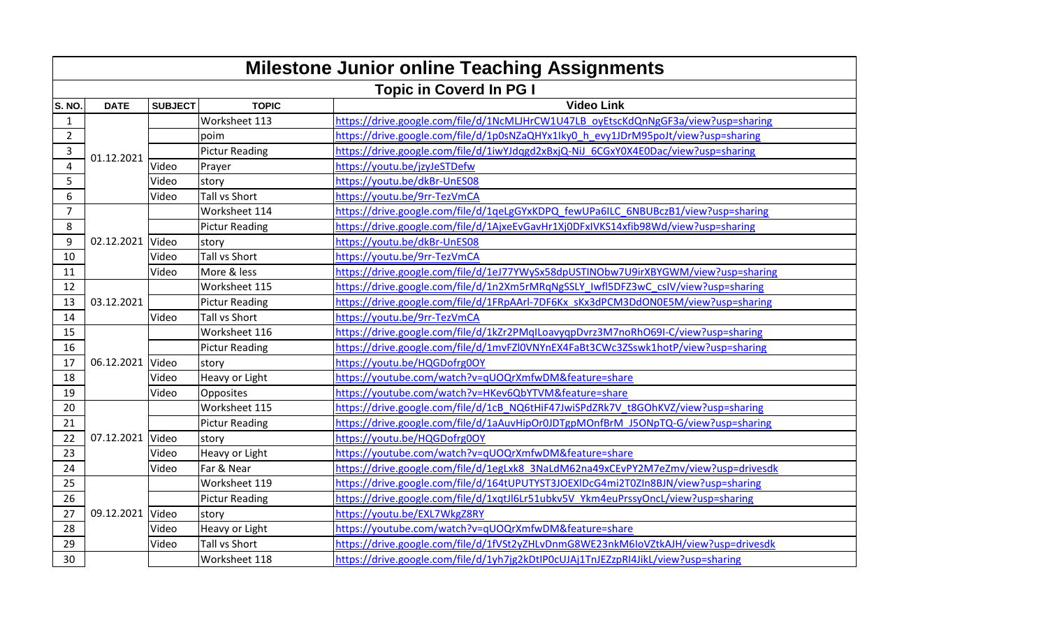| <b>Milestone Junior online Teaching Assignments</b> |                                |                |                       |                                                                                     |  |  |  |
|-----------------------------------------------------|--------------------------------|----------------|-----------------------|-------------------------------------------------------------------------------------|--|--|--|
|                                                     | <b>Topic in Coverd In PG I</b> |                |                       |                                                                                     |  |  |  |
| S. NO.                                              | <b>DATE</b>                    | <b>SUBJECT</b> | <b>TOPIC</b>          | <b>Video Link</b>                                                                   |  |  |  |
| $\mathbf{1}$                                        |                                |                | Worksheet 113         | https://drive.google.com/file/d/1NcMLJHrCW1U47LB_oyEtscKdQnNgGF3a/view?usp=sharing  |  |  |  |
| $\overline{2}$                                      | 01.12.2021                     |                | poim                  | https://drive.google.com/file/d/1p0sNZaQHYx1lky0_h_evy1JDrM95poJt/view?usp=sharing  |  |  |  |
| 3                                                   |                                |                | <b>Pictur Reading</b> | https://drive.google.com/file/d/1iwYJdqgd2xBxjQ-NiJ_6CGxY0X4E0Dac/view?usp=sharing  |  |  |  |
| 4                                                   |                                | Video          | Prayer                | https://youtu.be/jzyJeSTDefw                                                        |  |  |  |
| 5                                                   |                                | Video          | story                 | https://youtu.be/dkBr-UnES08                                                        |  |  |  |
| 6                                                   |                                | Video          | <b>Tall vs Short</b>  | https://youtu.be/9rr-TezVmCA                                                        |  |  |  |
| 7                                                   | 02.12.2021 Video               |                | Worksheet 114         | https://drive.google.com/file/d/1qeLgGYxKDPQ_fewUPa6ILC_6NBUBczB1/view?usp=sharing  |  |  |  |
| 8                                                   |                                |                | <b>Pictur Reading</b> | https://drive.google.com/file/d/1AjxeEvGavHr1Xj0DFxIVKS14xfib98Wd/view?usp=sharing  |  |  |  |
| 9                                                   |                                |                | story                 | https://youtu.be/dkBr-UnES08                                                        |  |  |  |
| 10                                                  |                                | Video          | <b>Tall vs Short</b>  | https://youtu.be/9rr-TezVmCA                                                        |  |  |  |
| 11                                                  |                                | Video          | More & less           | https://drive.google.com/file/d/1eJ77YWySx58dpUSTINObw7U9irXBYGWM/view?usp=sharing  |  |  |  |
| 12                                                  | 03.12.2021                     |                | Worksheet 115         | https://drive.google.com/file/d/1n2Xm5rMRqNgSSLY_Iwfl5DFZ3wC_csIV/view?usp=sharing  |  |  |  |
| 13                                                  |                                |                | <b>Pictur Reading</b> | https://drive.google.com/file/d/1FRpAArl-7DF6Kx sKx3dPCM3DdON0E5M/view?usp=sharing  |  |  |  |
| 14                                                  |                                | Video          | <b>Tall vs Short</b>  | https://youtu.be/9rr-TezVmCA                                                        |  |  |  |
| 15                                                  |                                |                | Worksheet 116         | https://drive.google.com/file/d/1kZr2PMqILoavyqpDvrz3M7noRhO69I-C/view?usp=sharing  |  |  |  |
| 16                                                  |                                |                | <b>Pictur Reading</b> | https://drive.google.com/file/d/1mvFZl0VNYnEX4FaBt3CWc3ZSswk1hotP/view?usp=sharing  |  |  |  |
| 17                                                  | 06.12.2021 Video               |                | story                 | https://youtu.be/HQGDofrg0OY                                                        |  |  |  |
| 18                                                  |                                | Video          | Heavy or Light        | https://youtube.com/watch?v=qUOQrXmfwDM&feature=share                               |  |  |  |
| 19                                                  |                                | Video          | Opposites             | https://youtube.com/watch?v=HKev6QbYTVM&feature=share                               |  |  |  |
| 20                                                  | 07.12.2021 Video               |                | Worksheet 115         | https://drive.google.com/file/d/1cB_NQ6tHiF47JwiSPdZRk7V_t8GOhKVZ/view?usp=sharing  |  |  |  |
| 21                                                  |                                |                | <b>Pictur Reading</b> | https://drive.google.com/file/d/1aAuvHipOr0JDTgpMOnfBrM_J5ONpTQ-G/view?usp=sharing  |  |  |  |
| 22                                                  |                                |                | story                 | https://youtu.be/HQGDofrg0OY                                                        |  |  |  |
| 23                                                  |                                | Video          | Heavy or Light        | https://youtube.com/watch?v=qUOQrXmfwDM&feature=share                               |  |  |  |
| 24                                                  |                                | Video          | Far & Near            | https://drive.google.com/file/d/1egLxk8_3NaLdM62na49xCEvPY2M7eZmv/view?usp=drivesdk |  |  |  |
| 25                                                  |                                |                | Worksheet 119         | https://drive.google.com/file/d/164tUPUTYST3JOEXIDcG4mi2T0ZIn8BJN/view?usp=sharing  |  |  |  |
| 26                                                  |                                |                | <b>Pictur Reading</b> | https://drive.google.com/file/d/1xqtJl6Lr51ubkv5V Ykm4euPrssyOncL/view?usp=sharing  |  |  |  |
| 27                                                  | 09.12.2021 Video               |                | story                 | https://youtu.be/EXL7WkgZ8RY                                                        |  |  |  |
| 28                                                  |                                | Video          | Heavy or Light        | https://youtube.com/watch?v=qUOQrXmfwDM&feature=share                               |  |  |  |
| 29                                                  |                                | Video          | Tall vs Short         | https://drive.google.com/file/d/1fVSt2yZHLvDnmG8WE23nkM6IoVZtkAJH/view?usp=drivesdk |  |  |  |
| 30                                                  |                                |                | Worksheet 118         | https://drive.google.com/file/d/1yh7jg2kDtlP0cUJAj1TnJEZzpRI4JikL/view?usp=sharing  |  |  |  |